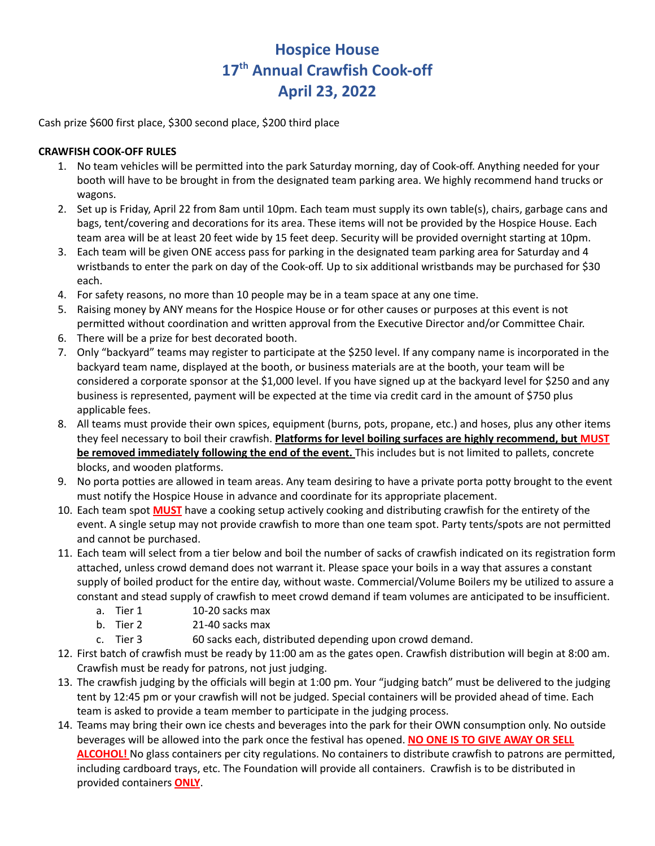## **Hospice House 17 th Annual Crawfish Cook-off April 23, 2022**

Cash prize \$600 first place, \$300 second place, \$200 third place

## **CRAWFISH COOK-OFF RULES**

- 1. No team vehicles will be permitted into the park Saturday morning, day of Cook-off. Anything needed for your booth will have to be brought in from the designated team parking area. We highly recommend hand trucks or wagons.
- 2. Set up is Friday, April 22 from 8am until 10pm. Each team must supply its own table(s), chairs, garbage cans and bags, tent/covering and decorations for its area. These items will not be provided by the Hospice House. Each team area will be at least 20 feet wide by 15 feet deep. Security will be provided overnight starting at 10pm.
- 3. Each team will be given ONE access pass for parking in the designated team parking area for Saturday and 4 wristbands to enter the park on day of the Cook-off. Up to six additional wristbands may be purchased for \$30 each.
- 4. For safety reasons, no more than 10 people may be in a team space at any one time.
- 5. Raising money by ANY means for the Hospice House or for other causes or purposes at this event is not permitted without coordination and written approval from the Executive Director and/or Committee Chair.
- 6. There will be a prize for best decorated booth.
- 7. Only "backyard" teams may register to participate at the \$250 level. If any company name is incorporated in the backyard team name, displayed at the booth, or business materials are at the booth, your team will be considered a corporate sponsor at the \$1,000 level. If you have signed up at the backyard level for \$250 and any business is represented, payment will be expected at the time via credit card in the amount of \$750 plus applicable fees.
- 8. All teams must provide their own spices, equipment (burns, pots, propane, etc.) and hoses, plus any other items they feel necessary to boil their crawfish. **Platforms for level boiling surfaces are highly recommend, but MUST be removed immediately following the end of the event.** This includes but is not limited to pallets, concrete blocks, and wooden platforms.
- 9. No porta potties are allowed in team areas. Any team desiring to have a private porta potty brought to the event must notify the Hospice House in advance and coordinate for its appropriate placement.
- 10. Each team spot **MUST** have a cooking setup actively cooking and distributing crawfish for the entirety of the event. A single setup may not provide crawfish to more than one team spot. Party tents/spots are not permitted and cannot be purchased.
- 11. Each team will select from a tier below and boil the number of sacks of crawfish indicated on its registration form attached, unless crowd demand does not warrant it. Please space your boils in a way that assures a constant supply of boiled product for the entire day, without waste. Commercial/Volume Boilers my be utilized to assure a constant and stead supply of crawfish to meet crowd demand if team volumes are anticipated to be insufficient.
	- a. Tier 1 10-20 sacks max
	- b. Tier 2 21-40 sacks max
	- c. Tier 3 60 sacks each, distributed depending upon crowd demand.
- 12. First batch of crawfish must be ready by 11:00 am as the gates open. Crawfish distribution will begin at 8:00 am. Crawfish must be ready for patrons, not just judging.
- 13. The crawfish judging by the officials will begin at 1:00 pm. Your "judging batch" must be delivered to the judging tent by 12:45 pm or your crawfish will not be judged. Special containers will be provided ahead of time. Each team is asked to provide a team member to participate in the judging process.
- 14. Teams may bring their own ice chests and beverages into the park for their OWN consumption only. No outside beverages will be allowed into the park once the festival has opened. **NO ONE IS TO GIVE AWAY OR SELL ALCOHOL!** No glass containers per city regulations. No containers to distribute crawfish to patrons are permitted, including cardboard trays, etc. The Foundation will provide all containers. Crawfish is to be distributed in provided containers **ONLY**.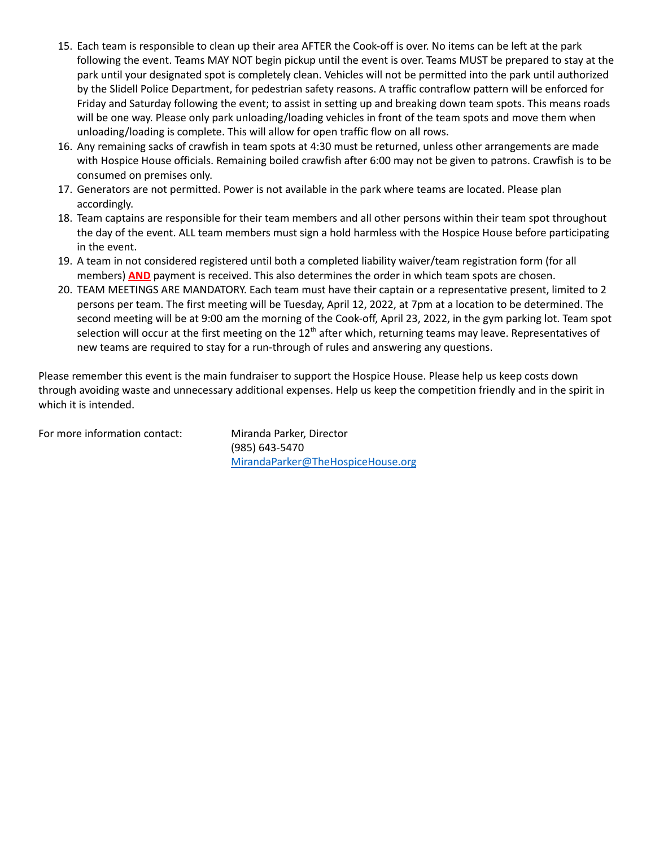- 15. Each team is responsible to clean up their area AFTER the Cook-off is over. No items can be left at the park following the event. Teams MAY NOT begin pickup until the event is over. Teams MUST be prepared to stay at the park until your designated spot is completely clean. Vehicles will not be permitted into the park until authorized by the Slidell Police Department, for pedestrian safety reasons. A traffic contraflow pattern will be enforced for Friday and Saturday following the event; to assist in setting up and breaking down team spots. This means roads will be one way. Please only park unloading/loading vehicles in front of the team spots and move them when unloading/loading is complete. This will allow for open traffic flow on all rows.
- 16. Any remaining sacks of crawfish in team spots at 4:30 must be returned, unless other arrangements are made with Hospice House officials. Remaining boiled crawfish after 6:00 may not be given to patrons. Crawfish is to be consumed on premises only.
- 17. Generators are not permitted. Power is not available in the park where teams are located. Please plan accordingly.
- 18. Team captains are responsible for their team members and all other persons within their team spot throughout the day of the event. ALL team members must sign a hold harmless with the Hospice House before participating in the event.
- 19. A team in not considered registered until both a completed liability waiver/team registration form (for all members) **AND** payment is received. This also determines the order in which team spots are chosen.
- 20. TEAM MEETINGS ARE MANDATORY. Each team must have their captain or a representative present, limited to 2 persons per team. The first meeting will be Tuesday, April 12, 2022, at 7pm at a location to be determined. The second meeting will be at 9:00 am the morning of the Cook-off, April 23, 2022, in the gym parking lot. Team spot selection will occur at the first meeting on the 12<sup>th</sup> after which, returning teams may leave. Representatives of new teams are required to stay for a run-through of rules and answering any questions.

Please remember this event is the main fundraiser to support the Hospice House. Please help us keep costs down through avoiding waste and unnecessary additional expenses. Help us keep the competition friendly and in the spirit in which it is intended.

For more information contact: Miranda Parker, Director

(985) 643-5470 [MirandaParker@TheHospiceHouse.org](mailto:MirandaParker@TheHospiceHouse.org)